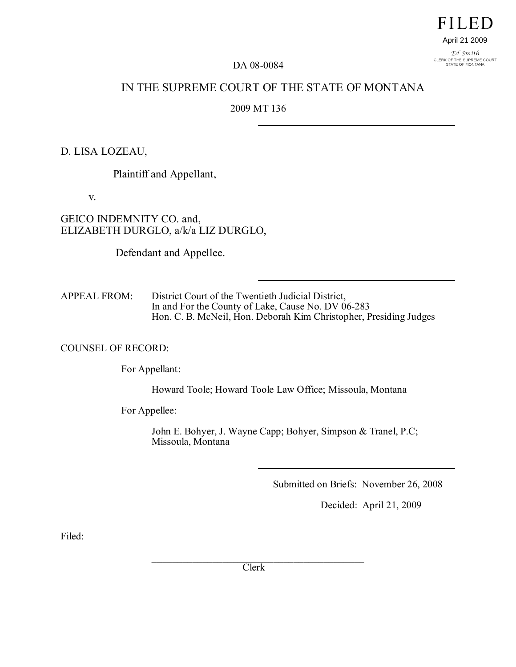**FILED** April 21 2009

Ed Smith CLERK OF THE SUPREME COURT<br>STATE OF MONTANA

DA 08-0084

# IN THE SUPREME COURT OF THE STATE OF MONTANA

## 2009 MT 136

### D. LISA LOZEAU,

Plaintiff and Appellant,

v.

## GEICO INDEMNITY CO. and, ELIZABETH DURGLO, a/k/a LIZ DURGLO,

Defendant and Appellee.

APPEAL FROM: District Court of the Twentieth Judicial District, In and For the County of Lake, Cause No. DV 06-283 Hon. C. B. McNeil, Hon. Deborah Kim Christopher, Presiding Judges

#### COUNSEL OF RECORD:

For Appellant:

Howard Toole; Howard Toole Law Office; Missoula, Montana

For Appellee:

John E. Bohyer, J. Wayne Capp; Bohyer, Simpson & Tranel, P.C; Missoula, Montana

Submitted on Briefs: November 26, 2008

Decided: April 21, 2009

Filed:

 $\mathcal{L}_\mathcal{L}$  , where  $\mathcal{L}_\mathcal{L}$  is the set of the set of the set of the set of the set of the set of the set of the set of the set of the set of the set of the set of the set of the set of the set of the set of the Clerk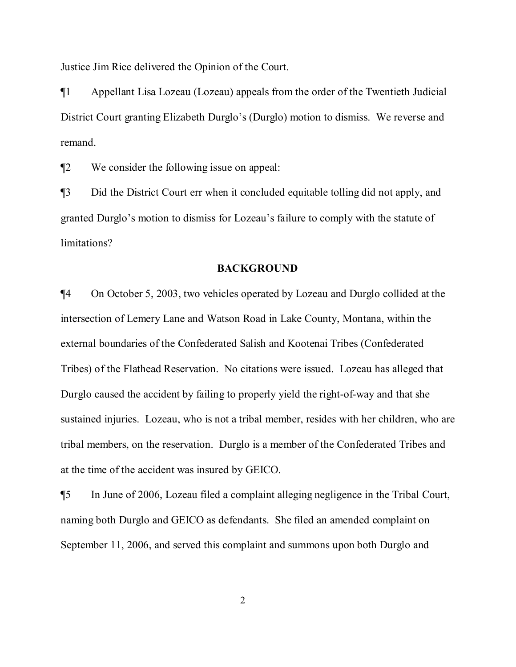Justice Jim Rice delivered the Opinion of the Court.

¶1 Appellant Lisa Lozeau (Lozeau) appeals from the order of the Twentieth Judicial District Court granting Elizabeth Durglo's (Durglo) motion to dismiss. We reverse and remand.

¶2 We consider the following issue on appeal:

¶3 Did the District Court err when it concluded equitable tolling did not apply, and granted Durglo's motion to dismiss for Lozeau's failure to comply with the statute of limitations?

### **BACKGROUND**

¶4 On October 5, 2003, two vehicles operated by Lozeau and Durglo collided at the intersection of Lemery Lane and Watson Road in Lake County, Montana, within the external boundaries of the Confederated Salish and Kootenai Tribes (Confederated Tribes) of the Flathead Reservation. No citations were issued. Lozeau has alleged that Durglo caused the accident by failing to properly yield the right-of-way and that she sustained injuries. Lozeau, who is not a tribal member, resides with her children, who are tribal members, on the reservation. Durglo is a member of the Confederated Tribes and at the time of the accident was insured by GEICO.

¶5 In June of 2006, Lozeau filed a complaint alleging negligence in the Tribal Court, naming both Durglo and GEICO as defendants. She filed an amended complaint on September 11, 2006, and served this complaint and summons upon both Durglo and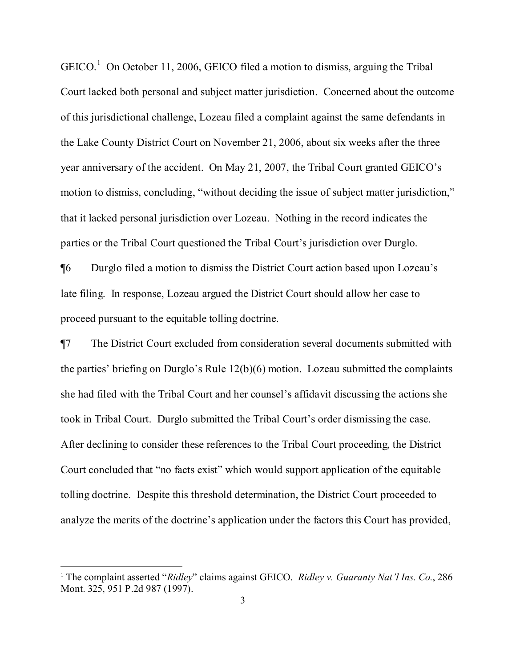$GEICO.<sup>1</sup>$  $GEICO.<sup>1</sup>$  $GEICO.<sup>1</sup>$  On October 11, 2006, GEICO filed a motion to dismiss, arguing the Tribal Court lacked both personal and subject matter jurisdiction. Concerned about the outcome of this jurisdictional challenge, Lozeau filed a complaint against the same defendants in the Lake County District Court on November 21, 2006, about six weeks after the three year anniversary of the accident. On May 21, 2007, the Tribal Court granted GEICO's motion to dismiss, concluding, "without deciding the issue of subject matter jurisdiction," that it lacked personal jurisdiction over Lozeau. Nothing in the record indicates the parties or the Tribal Court questioned the Tribal Court's jurisdiction over Durglo.

¶6 Durglo filed a motion to dismiss the District Court action based upon Lozeau's late filing. In response, Lozeau argued the District Court should allow her case to proceed pursuant to the equitable tolling doctrine.

¶7 The District Court excluded from consideration several documents submitted with the parties' briefing on Durglo's Rule 12(b)(6) motion. Lozeau submitted the complaints she had filed with the Tribal Court and her counsel's affidavit discussing the actions she took in Tribal Court. Durglo submitted the Tribal Court's order dismissing the case. After declining to consider these references to the Tribal Court proceeding, the District Court concluded that "no facts exist" which would support application of the equitable tolling doctrine. Despite this threshold determination, the District Court proceeded to analyze the merits of the doctrine's application under the factors this Court has provided,

<span id="page-2-0"></span><sup>&</sup>lt;sup>1</sup> The complaint asserted "*Ridley*" claims against GEICO. *[Ridley v. Guaranty Nat'l Ins. Co.](http://www.lexis.com/research/buttonTFLink?_m=5b81a71d3d5b04cb775da021c2d792ed&_xfercite=%3ccite%20cc%3d%22USA%22%3e%3c%21%5bCDATA%5b2008%20MT%20252%5d%5d%3e%3c%2fcite%3e&_butType=3&_butStat=2&_butNum=343&_butInline=1&_butinfo=%3ccite%20cc%3d%22USA%22%3e%3c%21%5bCDATA%5b286%20Mont.%20325%5d%5d%3e%3c%2fcite%3e&_fmtstr=FULL&docnum=1&_startdoc=1&wchp=dGLzVtz-zSkAB&_md5=f0d82d5897d02319c9b7fa8e2acae339)*, 286 Mont. 325, 951 P.2d 987 [\(1997\).](http://www.lexis.com/research/buttonTFLink?_m=5b81a71d3d5b04cb775da021c2d792ed&_xfercite=%3ccite%20cc%3d%22USA%22%3e%3c%21%5bCDATA%5b2008%20MT%20252%5d%5d%3e%3c%2fcite%3e&_butType=3&_butStat=2&_butNum=343&_butInline=1&_butinfo=%3ccite%20cc%3d%22USA%22%3e%3c%21%5bCDATA%5b286%20Mont.%20325%5d%5d%3e%3c%2fcite%3e&_fmtstr=FULL&docnum=1&_startdoc=1&wchp=dGLzVtz-zSkAB&_md5=f0d82d5897d02319c9b7fa8e2acae339)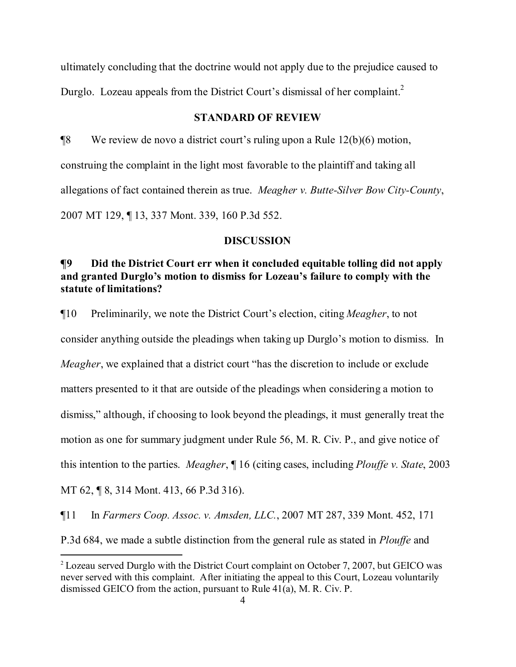ultimately concluding that the doctrine would not apply due to the prejudice caused to Durglo. Lozeau appeals from the District Court's dismissal of her complaint.<sup>[2](#page-3-0)</sup>

## **STANDARD OF REVIEW**

¶8 We review de novo a district court's ruling upon a Rule 12(b)(6) motion, construing the complaint in the light most favorable to the plaintiff and taking all allegations of fact contained therein as true. *Meagher v. Butte-Silver Bow City-County*, 2007 MT 129, ¶ 13, 337 Mont. 339, 160 P.3d 552.

### **DISCUSSION**

## **¶9 Did the District Court err when it concluded equitable tolling did not apply and granted Durglo's motion to dismiss for Lozeau's failure to comply with the statute of limitations?**

¶10 Preliminarily, we note the District Court's election, citing *Meagher*, to not consider anything outside the pleadings when taking up Durglo's motion to dismiss. In *Meagher*, we explained that a district court "has the discretion to include or exclude" matters presented to it that are outside of the pleadings when considering a motion to dismiss," although, if choosing to look beyond the pleadings, it must generally treat the motion as one for summary judgment under Rule 56, M. R. Civ. P., and give notice of this intention to the parties. *Meagher*, ¶ 16 (citing cases, including *Plouffe v. State*, 2003 MT 62, ¶ 8, 314 Mont. 413, 66 P.3d 316).

¶11 In *Farmers Coop. Assoc. v. Amsden, LLC.*, 2007 MT 287, 339 Mont. 452, 171

P.3d 684, we made a subtle distinction from the general rule as stated in *Plouffe* and

<span id="page-3-0"></span><sup>2</sup> Lozeau served Durglo with the District Court complaint on October 7, 2007, but GEICO was never served with this complaint. After initiating the appeal to this Court, Lozeau voluntarily dismissed GEICO from the action, pursuant to Rule 41(a), M. R. Civ. P.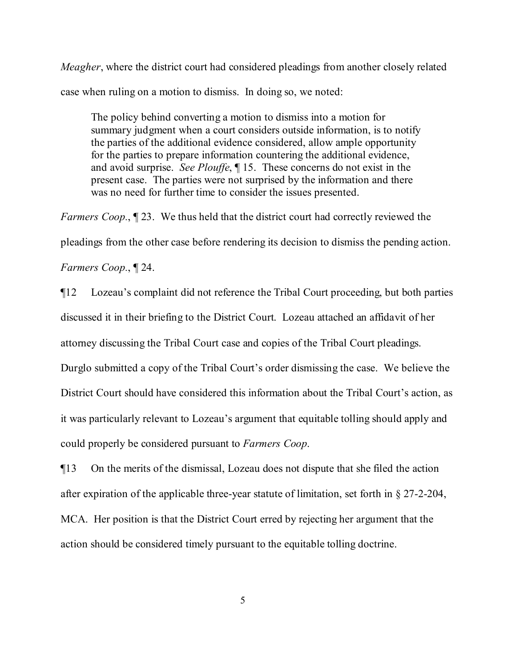*Meagher*, where the district court had considered pleadings from another closely related case when ruling on a motion to dismiss. In doing so, we noted:

The policy behind converting a motion to dismiss into a motion for summary judgment when a court considers outside information, is to notify the parties of the additional evidence considered, allow ample opportunity for the parties to prepare information countering the additional evidence, and avoid surprise. *See Plouffe*, ¶ 15. These concerns do not exist in the present case. The parties were not surprised by the information and there was no need for further time to consider the issues presented.

*Farmers Coop.*,  $\mathbb{I}$  23. We thus held that the district court had correctly reviewed the pleadings from the other case before rendering its decision to dismiss the pending action. *Farmers Coop.*, ¶ 24.

¶12 Lozeau's complaint did not reference the Tribal Court proceeding, but both parties discussed it in their briefing to the District Court. Lozeau attached an affidavit of her attorney discussing the Tribal Court case and copies of the Tribal Court pleadings.

Durglo submitted a copy of the Tribal Court's order dismissing the case. We believe the District Court should have considered this information about the Tribal Court's action, as it was particularly relevant to Lozeau's argument that equitable tolling should apply and could properly be considered pursuant to *Farmers Coop*.

¶13 On the merits of the dismissal, Lozeau does not dispute that she filed the action after expiration of the applicable three-year statute of limitation, set forth in § 27-2-204, MCA. Her position is that the District Court erred by rejecting her argument that the action should be considered timely pursuant to the equitable tolling doctrine.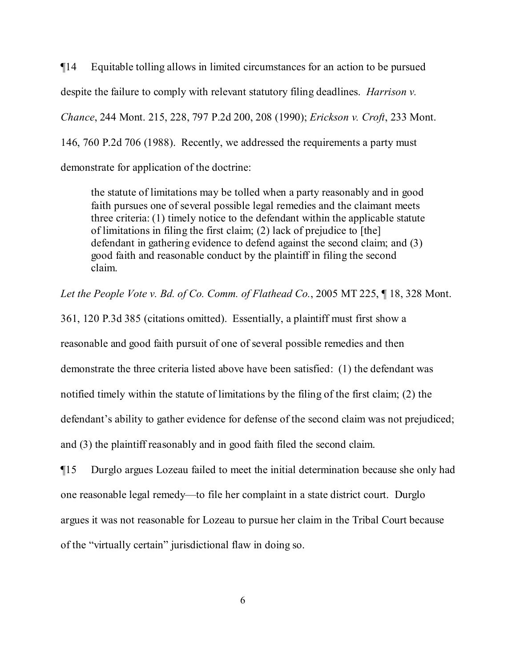¶14 Equitable tolling allows in limited circumstances for an action to be pursued despite the failure to comply with relevant statutory filing deadlines. *Harrison v. Chance*, 244 Mont. 215, 228, 797 P.2d 200, 208 (1990); *Erickson v. Croft*, 233 Mont. 146, 760 P.2d 706 (1988). Recently, we addressed the requirements a party must demonstrate for application of the doctrine:

the statute of limitations may be tolled when a party reasonably and in good faith pursues one of several possible legal remedies and the claimant meets three criteria: (1) timely notice to the defendant within the applicable statute of limitations in filing the first claim; (2) lack of prejudice to [the] defendant in gathering evidence to defend against the second claim; and (3) good faith and reasonable conduct by the plaintiff in filing the second claim.

*Let the People Vote v. Bd. of Co. Comm. of Flathead Co.*, 2005 MT 225, ¶ 18, 328 Mont.

361, 120 P.3d 385 (citations omitted). Essentially, a plaintiff must first show a reasonable and good faith pursuit of one of several possible remedies and then demonstrate the three criteria listed above have been satisfied: (1) the defendant was notified timely within the statute of limitations by the filing of the first claim; (2) the defendant's ability to gather evidence for defense of the second claim was not prejudiced; and (3) the plaintiff reasonably and in good faith filed the second claim.

¶15 Durglo argues Lozeau failed to meet the initial determination because she only had one reasonable legal remedy—to file her complaint in a state district court. Durglo argues it was not reasonable for Lozeau to pursue her claim in the Tribal Court because of the "virtually certain" jurisdictional flaw in doing so.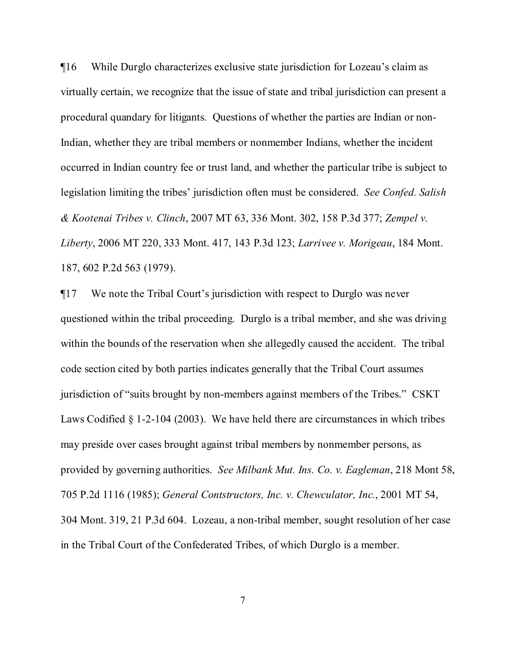¶16 While Durglo characterizes exclusive state jurisdiction for Lozeau's claim as virtually certain, we recognize that the issue of state and tribal jurisdiction can present a procedural quandary for litigants. Questions of whether the parties are Indian or non-Indian, whether they are tribal members or nonmember Indians, whether the incident occurred in Indian country fee or trust land, and whether the particular tribe is subject to legislation limiting the tribes' jurisdiction often must be considered. *See Confed. Salish & Kootenai Tribes v. Clinch*, 2007 MT 63, 336 Mont. 302, 158 P.3d 377; *Zempel v. Liberty*, 2006 MT 220, 333 Mont. 417, 143 P.3d 123; *Larrivee v. Morigeau*, 184 Mont. 187, 602 P.2d 563 (1979).

¶17 We note the Tribal Court's jurisdiction with respect to Durglo was never questioned within the tribal proceeding. Durglo is a tribal member, and she was driving within the bounds of the reservation when she allegedly caused the accident. The tribal code section cited by both parties indicates generally that the Tribal Court assumes jurisdiction of "suits brought by non-members against members of the Tribes." CSKT Laws Codified § 1-2-104 (2003). We have held there are circumstances in which tribes may preside over cases brought against tribal members by nonmember persons, as provided by governing authorities. *See Milbank Mut. Ins. Co. v. Eagleman*, 218 Mont 58, 705 P.2d 1116 (1985); *General Contstructors, Inc. v. Chewculator, Inc.*, 2001 MT 54, 304 Mont. 319, 21 P.3d 604. Lozeau, a non-tribal member, sought resolution of her case in the Tribal Court of the Confederated Tribes, of which Durglo is a member.

7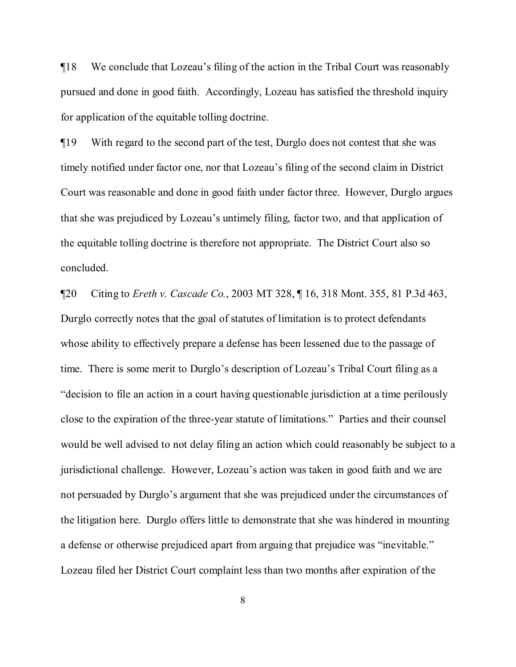¶18 We conclude that Lozeau's filing of the action in the Tribal Court was reasonably pursued and done in good faith. Accordingly, Lozeau has satisfied the threshold inquiry for application of the equitable tolling doctrine.

¶19 With regard to the second part of the test, Durglo does not contest that she was timely notified under factor one, nor that Lozeau's filing of the second claim in District Court was reasonable and done in good faith under factor three. However, Durglo argues that she was prejudiced by Lozeau's untimely filing, factor two, and that application of the equitable tolling doctrine is therefore not appropriate. The District Court also so concluded.

¶20 Citing to *Ereth v. Cascade Co.*, 2003 MT 328, ¶ 16, 318 Mont. 355, 81 P.3d 463, Durglo correctly notes that the goal of statutes of limitation is to protect defendants whose ability to effectively prepare a defense has been lessened due to the passage of time. There is some merit to Durglo's description of Lozeau's Tribal Court filing as a "decision to file an action in a court having questionable jurisdiction at a time perilously close to the expiration of the three-year statute of limitations." Parties and their counsel would be well advised to not delay filing an action which could reasonably be subject to a jurisdictional challenge. However, Lozeau's action was taken in good faith and we are not persuaded by Durglo's argument that she was prejudiced under the circumstances of the litigation here. Durglo offers little to demonstrate that she was hindered in mounting a defense or otherwise prejudiced apart from arguing that prejudice was "inevitable." Lozeau filed her District Court complaint less than two months after expiration of the

8